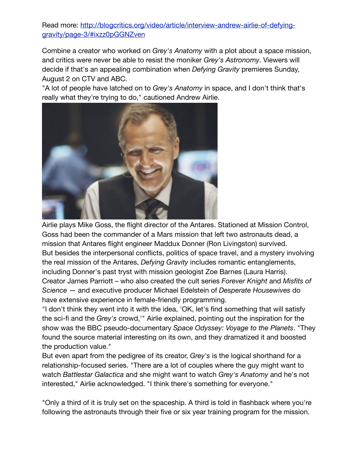Read more: [http://blogcritics.org/video/article/interview-andrew-airlie-of-defying](http://blogcritics.org/video/article/interview-andrew-airlie-of-defying-gravity/page-3/#ixzz0pGGNZven)[gravity/page-3/#ixzz0pGGNZven](http://blogcritics.org/video/article/interview-andrew-airlie-of-defying-gravity/page-3/#ixzz0pGGNZven)

Combine a creator who worked on *Grey's Anatomy* with a plot about a space mission, and critics were never be able to resist the moniker *Grey's Astronomy*. Viewers will decide if that's an appealing combination when *Defying Gravity* premieres Sunday, August 2 on CTV and ABC.

"A lot of people have latched on to *Grey's Anatomy* in space, and I don't think that's really what they're trying to do," cautioned Andrew Airlie.



Airlie plays Mike Goss, the flight director of the Antares. Stationed at Mission Control, Goss had been the commander of a Mars mission that left two astronauts dead, a mission that Antares flight engineer Maddux Donner (Ron Livingston) survived. But besides the interpersonal conflicts, politics of space travel, and a mystery involving the real mission of the Antares, *Defying Gravity* includes romantic entanglements, including Donner's past tryst with mission geologist Zoe Barnes (Laura Harris). Creator James Parriott – who also created the cult series *Forever Knight* and *Misfits of Science* — and executive producer Michael Edelstein of *Desperate Housewives* do have extensive experience in female-friendly programming.

"I don't think they went into it with the idea, 'OK, let's find something that will satisfy the sci-fi and the *Grey's* crowd,'" Airlie explained, pointing out the inspiration for the show was the BBC pseudo-documentary *Space Odyssey: Voyage to the Planets*. "They found the source material interesting on its own, and they dramatized it and boosted the production value."

But even apart from the pedigree of its creator, *Grey's* is the logical shorthand for a relationship-focused series. "There are a lot of couples where the guy might want to watch *Battlestar Galactica* and she might want to watch *Grey's Anatomy* and he's not interested," Airlie acknowledged. "I think there's something for everyone."

"Only a third of it is truly set on the spaceship. A third is told in flashback where you're following the astronauts through their five or six year training program for the mission.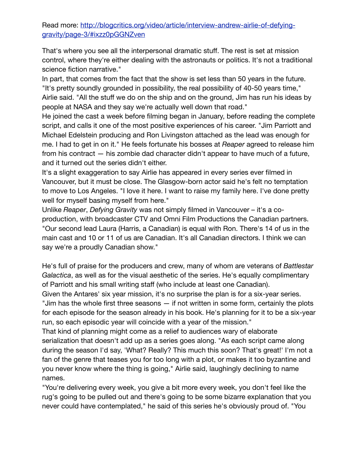## Read more: [http://blogcritics.org/video/article/interview-andrew-airlie-of-defying](http://blogcritics.org/video/article/interview-andrew-airlie-of-defying-gravity/page-3/#ixzz0pGGNZven)[gravity/page-3/#ixzz0pGGNZven](http://blogcritics.org/video/article/interview-andrew-airlie-of-defying-gravity/page-3/#ixzz0pGGNZven)

That's where you see all the interpersonal dramatic stuff. The rest is set at mission control, where they're either dealing with the astronauts or politics. It's not a traditional science fiction narrative."

In part, that comes from the fact that the show is set less than 50 years in the future. "It's pretty soundly grounded in possibility, the real possibility of 40-50 years time," Airlie said. "All the stuff we do on the ship and on the ground, Jim has run his ideas by people at NASA and they say we're actually well down that road."

He joined the cast a week before filming began in January, before reading the complete script, and calls it one of the most positive experiences of his career. "Jim Parriott and Michael Edelstein producing and Ron Livingston attached as the lead was enough for me. I had to get in on it." He feels fortunate his bosses at *Reaper* agreed to release him from his contract — his zombie dad character didn't appear to have much of a future, and it turned out the series didn't either.

It's a slight exaggeration to say Airlie has appeared in every series ever filmed in Vancouver, but it must be close. The Glasgow-born actor said he's felt no temptation to move to Los Angeles. "I love it here. I want to raise my family here. I've done pretty well for myself basing myself from here."

Unlike *Reaper*, *Defying Gravity* was not simply filmed in Vancouver – it's a coproduction, with broadcaster CTV and Omni Film Productions the Canadian partners. "Our second lead Laura (Harris, a Canadian) is equal with Ron. There's 14 of us in the main cast and 10 or 11 of us are Canadian. It's all Canadian directors. I think we can say we're a proudly Canadian show."

He's full of praise for the producers and crew, many of whom are veterans of *Battlestar Galactica*, as well as for the visual aesthetic of the series. He's equally complimentary of Parriott and his small writing staff (who include at least one Canadian).

Given the Antares' six year mission, it's no surprise the plan is for a six-year series. "Jim has the whole first three seasons — if not written in some form, certainly the plots for each episode for the season already in his book. He's planning for it to be a six-year run, so each episodic year will coincide with a year of the mission."

That kind of planning might come as a relief to audiences wary of elaborate serialization that doesn't add up as a series goes along. "As each script came along during the season I'd say, 'What? Really? This much this soon? That's great!' I'm not a fan of the genre that teases you for too long with a plot, or makes it too byzantine and you never know where the thing is going," Airlie said, laughingly declining to name names.

"You're delivering every week, you give a bit more every week, you don't feel like the rug's going to be pulled out and there's going to be some bizarre explanation that you never could have contemplated," he said of this series he's obviously proud of. "You